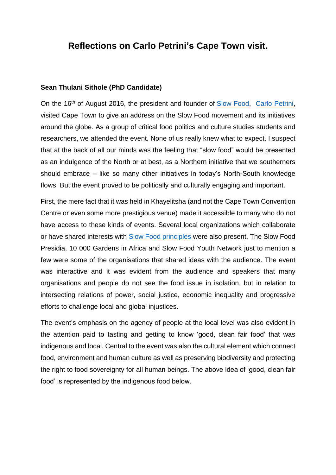## **Reflections on Carlo Petrini's Cape Town visit.**

#### **Sean Thulani Sithole (PhD Candidate)**

On the 16<sup>th</sup> of August 2016, the president and founder of [Slow Food,](http://www.slowfood.com/) [Carlo Petrini,](https://www.ashoka.org/en/fellow/carlo-petrini#intro) visited Cape Town to give an address on the Slow Food movement and its initiatives around the globe. As a group of critical food politics and culture studies students and researchers, we attended the event. None of us really knew what to expect. I suspect that at the back of all our minds was the feeling that "slow food" would be presented as an indulgence of the North or at best, as a Northern initiative that we southerners should embrace – like so many other initiatives in today's North-South knowledge flows. But the event proved to be politically and culturally engaging and important.

First, the mere fact that it was held in Khayelitsha (and not the Cape Town Convention Centre or even some more prestigious venue) made it accessible to many who do not have access to these kinds of events. Several local organizations which collaborate or have shared interests with [Slow Food](http://www.fondazioneslowfood.com/en/what-we-do/the-ark-of-taste/) principles were also present. [The Slow Food](http://www.fondazioneslowfood.com/en/what-we-do/slow-food-presidia/)  [Presidia,](http://www.fondazioneslowfood.com/en/what-we-do/slow-food-presidia/) [10 000 Gardens in Africa](http://www.fondazioneslowfood.com/en/what-we-do/10-000-gardens-in-africa/) and [Slow Food Youth Network](http://www.slowfoodyouthnetwork.org/) just to mention a few were some of the organisations that shared ideas with the audience. The event was interactive and it was evident from the audience and speakers that many organisations and people do not see the food issue in isolation, but in relation to intersecting relations of power, social justice, economic inequality and progressive efforts to challenge local and global injustices.

The event's emphasis on the agency of people at the local level was also evident in the attention paid to tasting and getting to know 'good, clean fair food' that was indigenous and local. Central to the event was also the cultural element which connect food, environment and human culture as well as preserving biodiversity and protecting the right to food sovereignty for all human beings. The above idea of 'good, clean fair food' is represented by the indigenous food below.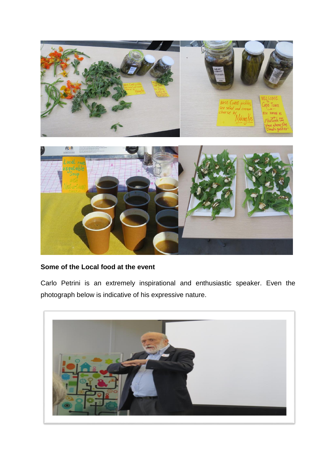

### **Some of the Local food at the event**

Carlo Petrini is an extremely inspirational and enthusiastic speaker. Even the photograph below is indicative of his expressive nature.

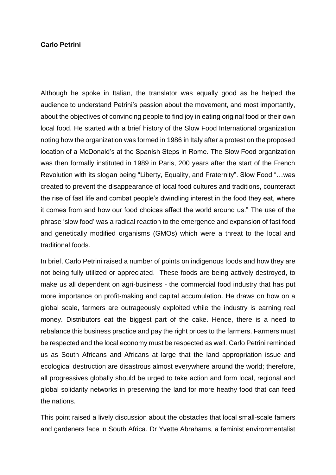#### **Carlo Petrini**

Although he spoke in Italian, the translator was equally good as he helped the audience to understand Petrini's passion about the movement, and most importantly, about the objectives of convincing people to find joy in eating original food or their own local food. He started with a brief history of the Slow Food International organization noting how the organization was formed in 1986 in Italy after a protest on the proposed location of a McDonald's at the Spanish Steps in Rome. The Slow Food organization was then formally instituted in 1989 in Paris, 200 years after the start of the French Revolution with its slogan being "Liberty, Equality, and Fraternity". Slow Food "…was created to prevent the disappearance of local food cultures and traditions, counteract the rise of fast life and combat people's dwindling interest in the food they eat, where it comes from and how our food choices affect the world around us." The use of the phrase 'slow food' was a radical reaction to the emergence and expansion of fast food and genetically modified organisms (GMOs) which were a threat to the local and traditional foods.

In brief, Carlo Petrini raised a number of points on indigenous foods and how they are not being fully utilized or appreciated. These foods are being actively destroyed, to make us all dependent on agri-business - the commercial food industry that has put more importance on profit-making and capital accumulation. He draws on how on a global scale, farmers are outrageously exploited while the industry is earning real money. Distributors eat the biggest part of the cake. Hence, there is a need to rebalance this business practice and pay the right prices to the farmers. Farmers must be respected and the local economy must be respected as well. Carlo Petrini reminded us as South Africans and Africans at large that the land appropriation issue and ecological destruction are disastrous almost everywhere around the world; therefore, all progressives globally should be urged to take action and form local, regional and global solidarity networks in preserving the land for more heathy food that can feed the nations.

This point raised a lively discussion about the obstacles that local small-scale famers and gardeners face in South Africa. Dr Yvette Abrahams, a feminist environmentalist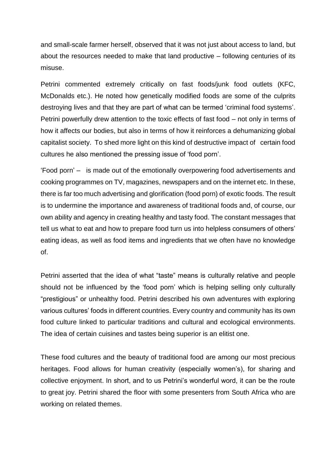and small-scale farmer herself, observed that it was not just about access to land, but about the resources needed to make that land productive – following centuries of its misuse.

Petrini commented extremely critically on fast foods/junk food outlets (KFC, McDonalds etc.). He noted how genetically modified foods are some of the culprits destroying lives and that they are part of what can be termed 'criminal food systems'. Petrini powerfully drew attention to the toxic effects of fast food – not only in terms of how it affects our bodies, but also in terms of how it reinforces a dehumanizing global capitalist society. To shed more light on this kind of destructive impact of certain food cultures he also mentioned the pressing issue of 'food porn'.

'Food porn' – is made out of the emotionally overpowering food advertisements and cooking programmes on TV, magazines, newspapers and on the internet etc. In these, there is far too much advertising and glorification (food porn) of exotic foods. The result is to undermine the importance and awareness of traditional foods and, of course, our own ability and agency in creating healthy and tasty food. The constant messages that tell us what to eat and how to prepare food turn us into helpless consumers of others' eating ideas, as well as food items and ingredients that we often have no knowledge of.

Petrini asserted that the idea of what "taste" means is culturally relative and people should not be influenced by the 'food porn' which is helping selling only culturally "prestigious" or unhealthy food. Petrini described his own adventures with exploring various cultures' foods in different countries. Every country and community has its own food culture linked to particular traditions and cultural and ecological environments. The idea of certain cuisines and tastes being superior is an elitist one.

These food cultures and the beauty of traditional food are among our most precious heritages. Food allows for human creativity (especially women's), for sharing and collective enjoyment. In short, and to us Petrini's wonderful word, it can be the route to great joy. Petrini shared the floor with some presenters from South Africa who are working on related themes.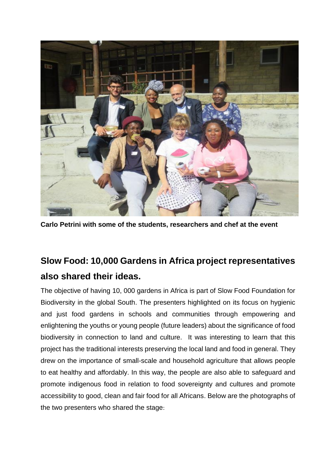

**Carlo Petrini with some of the students, researchers and chef at the event**

# **Slow Food: 10,000 Gardens in Africa project representatives also shared their ideas.**

The objective of having 10, 000 gardens in Africa is part of Slow Food Foundation for Biodiversity in the global South. The presenters highlighted on its focus on hygienic and just food gardens in schools and communities through empowering and enlightening the youths or young people (future leaders) about the significance of food biodiversity in connection to land and culture. It was interesting to learn that this project has the traditional interests preserving the local land and food in general. They drew on the importance of small-scale and household agriculture that allows people to eat healthy and affordably. In this way, the people are also able to safeguard and promote indigenous food in relation to food sovereignty and cultures and promote accessibility to good, clean and fair food for all Africans. Below are the photographs of the two presenters who shared the stage: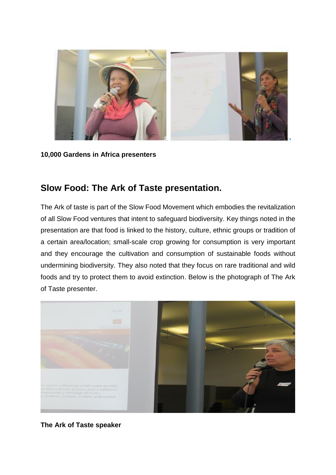

**10,000 Gardens in Africa presenters**

## **Slow Food: The Ark of Taste presentation.**

The Ark of taste is part of the Slow Food Movement which embodies the revitalization of all Slow Food ventures that intent to safeguard biodiversity. Key things noted in the presentation are that food is linked to the history, culture, ethnic groups or tradition of a certain area/location; small-scale crop growing for consumption is very important and they encourage the cultivation and consumption of sustainable foods without undermining biodiversity. They also noted that they focus on rare traditional and wild foods and try to protect them to avoid extinction. Below is the photograph of The Ark of Taste presenter.



**The Ark of Taste speaker**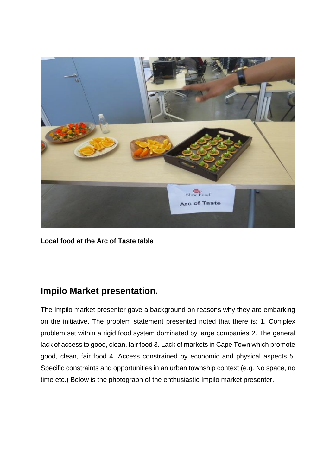

**Local food at the Arc of Taste table**

## **Impilo Market presentation.**

The Impilo market presenter gave a background on reasons why they are embarking on the initiative. The problem statement presented noted that there is: 1. Complex problem set within a rigid food system dominated by large companies 2. The general lack of access to good, clean, fair food 3. Lack of markets in Cape Town which promote good, clean, fair food 4. Access constrained by economic and physical aspects 5. Specific constraints and opportunities in an urban township context (e.g. No space, no time etc.) Below is the photograph of the enthusiastic Impilo market presenter.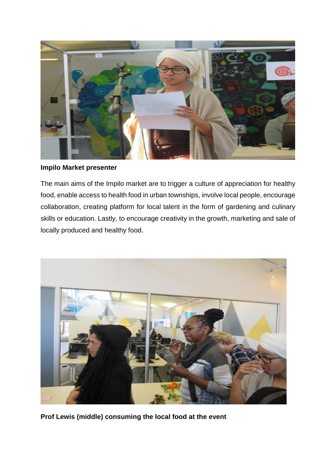

**Impilo Market presenter**

The main aims of the Impilo market are to trigger a culture of appreciation for healthy food, enable access to health food in urban townships, involve local people, encourage collaboration, creating platform for local talent in the form of gardening and culinary skills or education. Lastly, to encourage creativity in the growth, marketing and sale of locally produced and healthy food.



**Prof Lewis (middle) consuming the local food at the event**